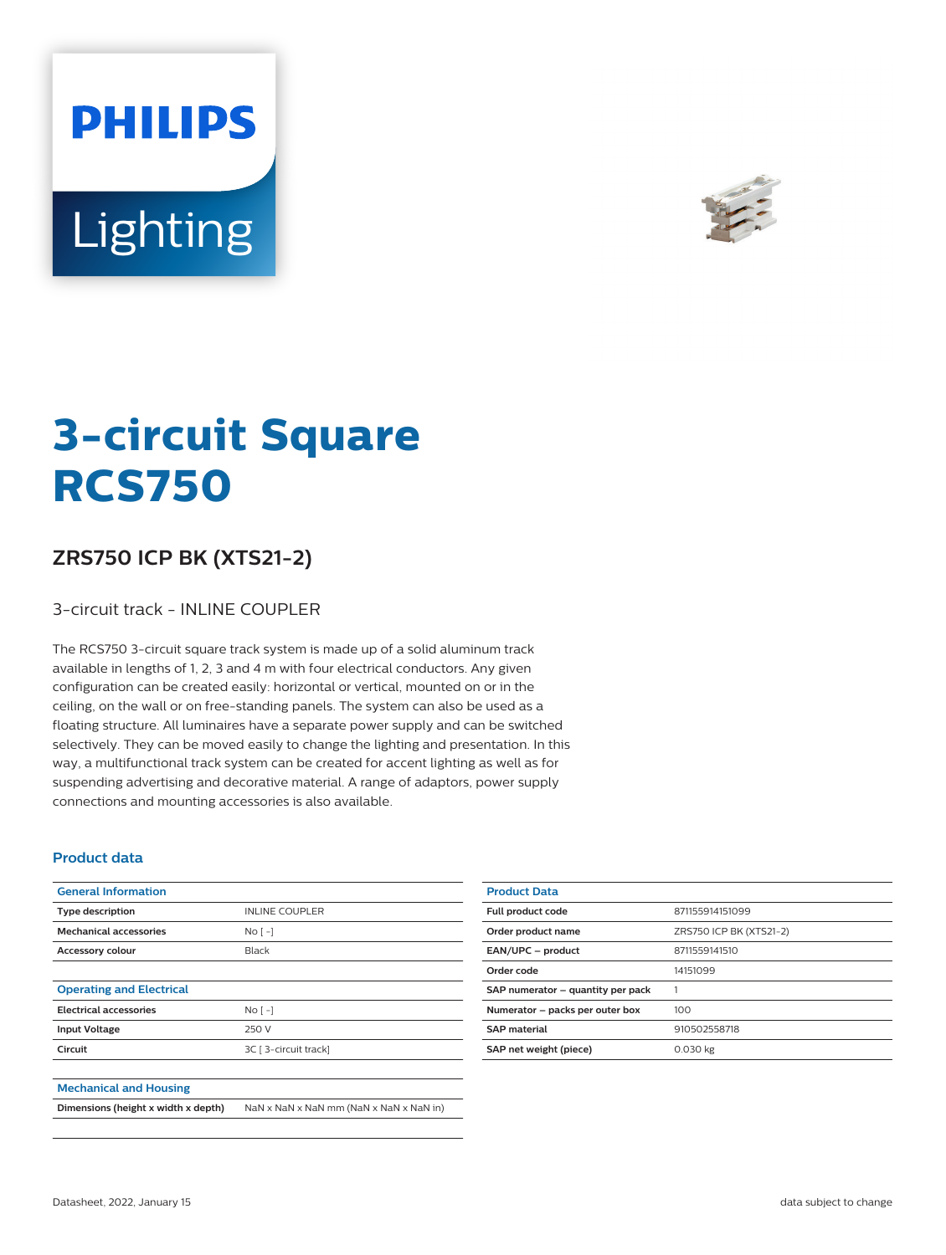



# **3-circuit Square RCS750**

## **ZRS750 ICP BK (XTS21-2)**

#### 3-circuit track - INLINE COUPLER

The RCS750 3-circuit square track system is made up of a solid aluminum track available in lengths of 1, 2, 3 and 4 m with four electrical conductors. Any given configuration can be created easily: horizontal or vertical, mounted on or in the ceiling, on the wall or on free-standing panels. The system can also be used as a floating structure. All luminaires have a separate power supply and can be switched selectively. They can be moved easily to change the lighting and presentation. In this way, a multifunctional track system can be created for accent lighting as well as for suspending advertising and decorative material. A range of adaptors, power supply connections and mounting accessories is also available.

#### **Product data**

| <b>General Information</b>          |                                         |
|-------------------------------------|-----------------------------------------|
| <b>Type description</b>             | <b>INLINE COUPLER</b>                   |
| <b>Mechanical accessories</b>       | $NQ$ [ -]                               |
| <b>Accessory colour</b>             | Black                                   |
|                                     |                                         |
| <b>Operating and Electrical</b>     |                                         |
| <b>Electrical accessories</b>       | $NQ$ [ -]                               |
| <b>Input Voltage</b>                | 250 V                                   |
| Circuit                             | 3C [ 3-circuit track]                   |
|                                     |                                         |
| <b>Mechanical and Housing</b>       |                                         |
| Dimensions (height x width x depth) | NaN x NaN x NaN mm (NaN x NaN x NaN in) |

| 871155914151099         |
|-------------------------|
| ZRS750 ICP BK (XTS21-2) |
| 8711559141510           |
| 14151099                |
|                         |
| 100                     |
| 910502558718            |
| 0.030 kg                |
|                         |